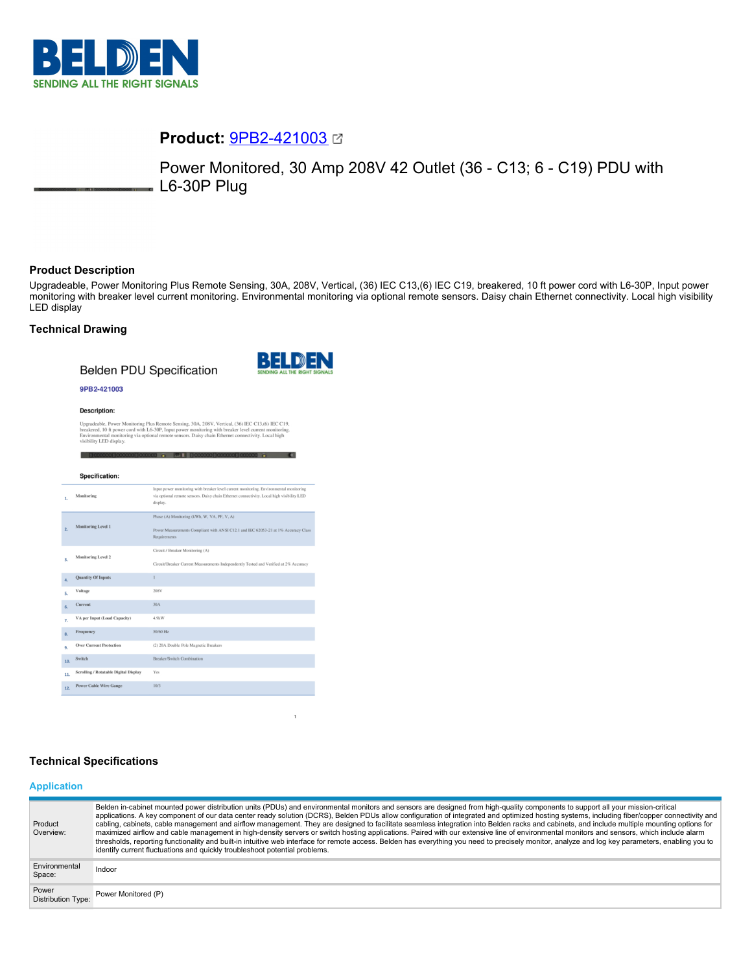

# **Product:** [9PB2-421003](https://catalog.belden.com/index.cfm?event=pd&p=PF_9PB2421003&tab=downloads)

Power Monitored, 30 Amp 208V 42 Outlet (36 - C13; 6 - C19) PDU with L6-30P Plug

## **Product Description**

Upgradeable, Power Monitoring Plus Remote Sensing, 30A, 208V, Vertical, (36) IEC C13,(6) IEC C19, breakered, 10 ft power cord with L6-30P, Input power monitoring with breaker level current monitoring. Environmental monitoring via optional remote sensors. Daisy chain Ethernet connectivity. Local high visibility LED display

### **Technical Drawing**

**Belden PDU Specification** 



 $\mathbf 1$ 

#### 9PB2-421003

#### **Description:**

Upgradeable, Power Monitoring Plus Remote Sensing, 30A, 208V, Vertical, (36) IEC C13,(6) IEC C19, breakered, 10 ft power cord with L6-30P, Input power monitoring with breaker level current monitoring. Environmental monito

|     | Specification:                        |                                                                                                                                                                                                 |
|-----|---------------------------------------|-------------------------------------------------------------------------------------------------------------------------------------------------------------------------------------------------|
| 1.  | Monitoring                            | Input power monitoring with breaker level current monitoring. Environmental monitoring<br>via optional remote sensors. Daisy chain Ethernet connectivity. Local high visibility LED<br>display. |
| 2.  | <b>Monitoring Level 1</b>             | Phase (A) Monitoring (kWh, W, VA, PF, V, A)<br>Power Measurements Compliant with ANSI C12.1 and IEC 62053-21 at 1% Accuracy Class<br>Requirements                                               |
| 3.  | Monitoring Level 2                    | Circuit / Breaker Monitoring (A)<br>Circuit/Breaker Current Measurements Independently Tested and Verified at 2% Accuracy                                                                       |
| 4.  | <b>Quantity Of Inputs</b>             |                                                                                                                                                                                                 |
| 5.  | Voltage                               | 208V                                                                                                                                                                                            |
| 6.  | Current                               | 30A                                                                                                                                                                                             |
| 7.  | VA per Input (Load Capacity)          | 4.9kW                                                                                                                                                                                           |
| 8.  | Frequency                             | 50/60 Hz                                                                                                                                                                                        |
| 9.  | <b>Over Current Protection</b>        | (2) 20A Double Pole Magnetic Breakers                                                                                                                                                           |
| 10. | Switch                                | Breaker/Switch Combination                                                                                                                                                                      |
| 11. | Scrolling / Rotatable Digital Display | Yes                                                                                                                                                                                             |
| 12. | <b>Power Cable Wire Gauge</b>         | 10/3                                                                                                                                                                                            |

#### **Technical Specifications**

#### **Application**

| Product<br>Overview:               | Belden in-cabinet mounted power distribution units (PDUs) and environmental monitors and sensors are designed from high-quality components to support all your mission-critical<br>applications. A key component of our data center ready solution (DCRS), Belden PDUs allow configuration of integrated and optimized hosting systems, including fiber/copper connectivity and<br>cabling, cabinets, cable management and airflow management. They are designed to facilitate seamless integration into Belden racks and cabinets, and include multiple mounting options for<br>maximized airflow and cable management in high-density servers or switch hosting applications. Paired with our extensive line of environmental monitors and sensors, which include alarm<br>thresholds, reporting functionality and built-in intuitive web interface for remote access. Belden has everything you need to precisely monitor, analyze and log key parameters, enabling you to<br>identify current fluctuations and quickly troubleshoot potential problems. |
|------------------------------------|-------------------------------------------------------------------------------------------------------------------------------------------------------------------------------------------------------------------------------------------------------------------------------------------------------------------------------------------------------------------------------------------------------------------------------------------------------------------------------------------------------------------------------------------------------------------------------------------------------------------------------------------------------------------------------------------------------------------------------------------------------------------------------------------------------------------------------------------------------------------------------------------------------------------------------------------------------------------------------------------------------------------------------------------------------------|
| Environmental<br>Space:            | Indoor                                                                                                                                                                                                                                                                                                                                                                                                                                                                                                                                                                                                                                                                                                                                                                                                                                                                                                                                                                                                                                                      |
| Power<br><b>Distribution Type:</b> | Power Monitored (P)                                                                                                                                                                                                                                                                                                                                                                                                                                                                                                                                                                                                                                                                                                                                                                                                                                                                                                                                                                                                                                         |